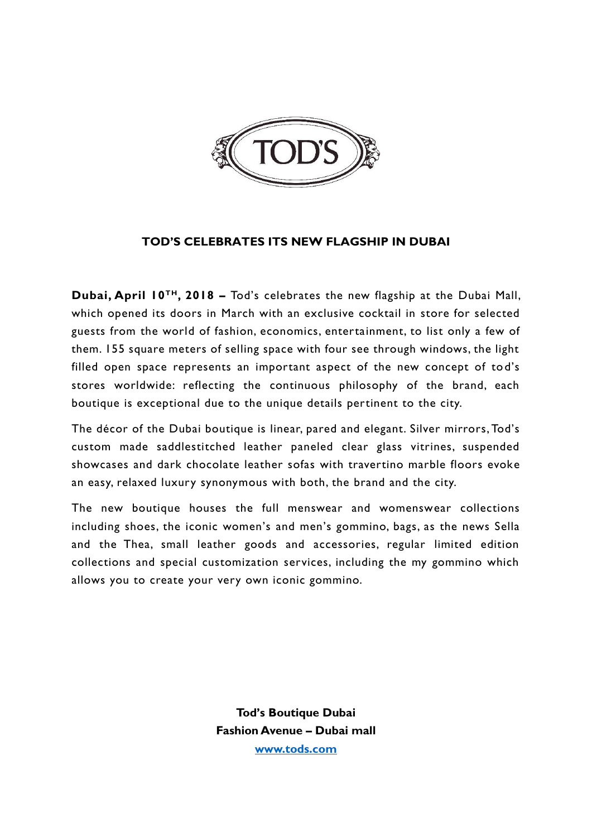

## **TOD'S CELEBRATES ITS NEW FLAGSHIP IN DUBAI**

**Dubai, April 10TH, 2018 –** Tod's celebrates the new flagship at the Dubai Mall, which opened its doors in March with an exclusive cocktail in store for selected guests from the world of fashion, economics, entertainment, to list only a few of them. 155 square meters of selling space with four see through windows, the light filled open space represents an important aspect of the new concept of tod's stores worldwide: reflecting the continuous philosophy of the brand, each boutique is exceptional due to the unique details pertinent to the city.

The décor of the Dubai boutique is linear, pared and elegant. Silver mirrors, Tod's custom made saddlestitched leather paneled clear glass vitrines, suspended showcases and dark chocolate leather sofas with travertino marble floors evoke an easy, relaxed luxury synonymous with both, the brand and the city.

The new boutique houses the full menswear and womenswear collections including shoes, the iconic women's and men's gommino, bags, as the news Sella and the Thea, small leather goods and accessories, regular limited edition collections and special customization services, including the my gommino which allows you to create your very own iconic gommino.

> **Tod's Boutique Dubai Fashion Avenue – Dubai mall [www.tods.com](http://www.tods.com/)**